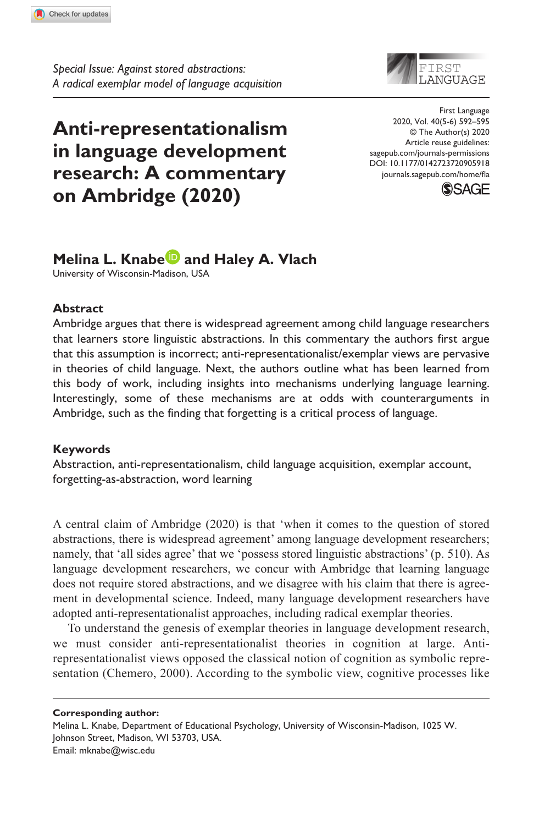**9059[18](http://crossmark.crossref.org/dialog/?doi=10.1177%2F0142723720905918&domain=pdf&date_stamp=2020-02-17)**FLA0010.1177/0142723720905918First Language**Knabe and Vlach**

# **Anti-representationalism in language development research: A commentary on Ambridge (2020)**



DOI: 10.1177/0142723720905918 First Language 2020, Vol. 40(5-6) 592–595 © The Author(s) 2020 Article reuse guidelines: [sagepub.com/journals-permissions](https://uk.sagepub.com/en-gb/journals-permissions) [journals.sagepub.com/home/fla](https://journals.sagepub.com/home/fla)



# **Melina L. Knabe and Haley A. Vlach**

University of Wisconsin-Madison, USA

### **Abstract**

Ambridge argues that there is widespread agreement among child language researchers that learners store linguistic abstractions. In this commentary the authors first argue that this assumption is incorrect; anti-representationalist/exemplar views are pervasive in theories of child language. Next, the authors outline what has been learned from this body of work, including insights into mechanisms underlying language learning. Interestingly, some of these mechanisms are at odds with counterarguments in Ambridge, such as the finding that forgetting is a critical process of language.

## **Keywords**

Abstraction, anti-representationalism, child language acquisition, exemplar account, forgetting-as-abstraction, word learning

A central claim of Ambridge (2020) is that 'when it comes to the question of stored abstractions, there is widespread agreement' among language development researchers; namely, that 'all sides agree' that we 'possess stored linguistic abstractions' (p. 510). As language development researchers, we concur with Ambridge that learning language does not require stored abstractions, and we disagree with his claim that there is agreement in developmental science. Indeed, many language development researchers have adopted anti-representationalist approaches, including radical exemplar theories.

To understand the genesis of exemplar theories in language development research, we must consider anti-representationalist theories in cognition at large. Antirepresentationalist views opposed the classical notion of cognition as symbolic representation (Chemero, 2000). According to the symbolic view, cognitive processes like

**Corresponding author:**

Melina L. Knabe, Department of Educational Psychology, University of Wisconsin-Madison, 1025 W. Johnson Street, Madison, WI 53703, USA. Email: [mknabe@wisc.edu](mailto:mknabe@wisc.edu)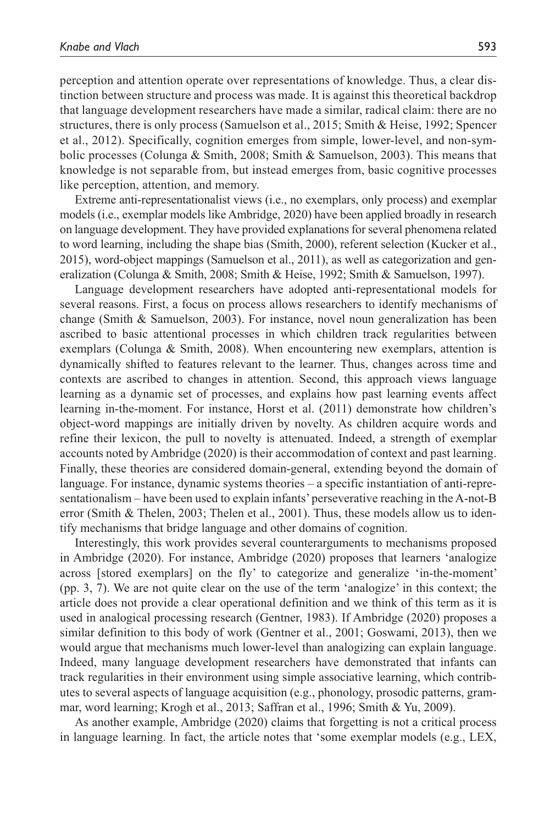perception and attention operate over representations of knowledge. Thus, a clear distinction between structure and process was made. It is against this theoretical backdrop that language development researchers have made a similar, radical claim: there are no structures, there is only process (Samuelson et al., 2015; Smith & Heise, 1992; Spencer et al., 2012). Specifically, cognition emerges from simple, lower-level, and non-symbolic processes (Colunga & Smith, 2008; Smith & Samuelson, 2003). This means that knowledge is not separable from, but instead emerges from, basic cognitive processes like perception, attention, and memory.

Extreme anti-representationalist views (i.e., no exemplars, only process) and exemplar models (i.e., exemplar models like Ambridge, 2020) have been applied broadly in research on language development. They have provided explanations for several phenomena related to word learning, including the shape bias (Smith, 2000), referent selection (Kucker et al., 2015), word-object mappings (Samuelson et al., 2011), as well as categorization and generalization (Colunga & Smith, 2008; Smith & Heise, 1992; Smith & Samuelson, 1997).

Language development researchers have adopted anti-representational models for several reasons. First, a focus on process allows researchers to identify mechanisms of change (Smith & Samuelson, 2003). For instance, novel noun generalization has been ascribed to basic attentional processes in which children track regularities between exemplars (Colunga  $& Smith, 2008$ ). When encountering new exemplars, attention is dynamically shifted to features relevant to the learner. Thus, changes across time and contexts are ascribed to changes in attention. Second, this approach views language learning as a dynamic set of processes, and explains how past learning events affect learning in-the-moment. For instance, Horst et al. (2011) demonstrate how children's object-word mappings are initially driven by novelty. As children acquire words and refine their lexicon, the pull to novelty is attenuated. Indeed, a strength of exemplar accounts noted by Ambridge (2020) is their accommodation of context and past learning. Finally, these theories are considered domain-general, extending beyond the domain of language. For instance, dynamic systems theories – a specific instantiation of anti-representationalism – have been used to explain infants' perseverative reaching in the A-not-B error (Smith & Thelen, 2003; Thelen et al., 2001). Thus, these models allow us to identify mechanisms that bridge language and other domains of cognition.

Interestingly, this work provides several counterarguments to mechanisms proposed in Ambridge (2020). For instance, Ambridge (2020) proposes that learners 'analogize across [stored exemplars] on the fly' to categorize and generalize 'in-the-moment' (pp. 3, 7). We are not quite clear on the use of the term 'analogize' in this context; the article does not provide a clear operational definition and we think of this term as it is used in analogical processing research (Gentner, 1983). If Ambridge (2020) proposes a similar definition to this body of work (Gentner et al., 2001; Goswami, 2013), then we would argue that mechanisms much lower-level than analogizing can explain language. Indeed, many language development researchers have demonstrated that infants can track regularities in their environment using simple associative learning, which contributes to several aspects of language acquisition (e.g., phonology, prosodic patterns, grammar, word learning; Krogh et al., 2013; Saffran et al., 1996; Smith & Yu, 2009).

As another example, Ambridge (2020) claims that forgetting is not a critical process in language learning. In fact, the article notes that 'some exemplar models (e.g., LEX,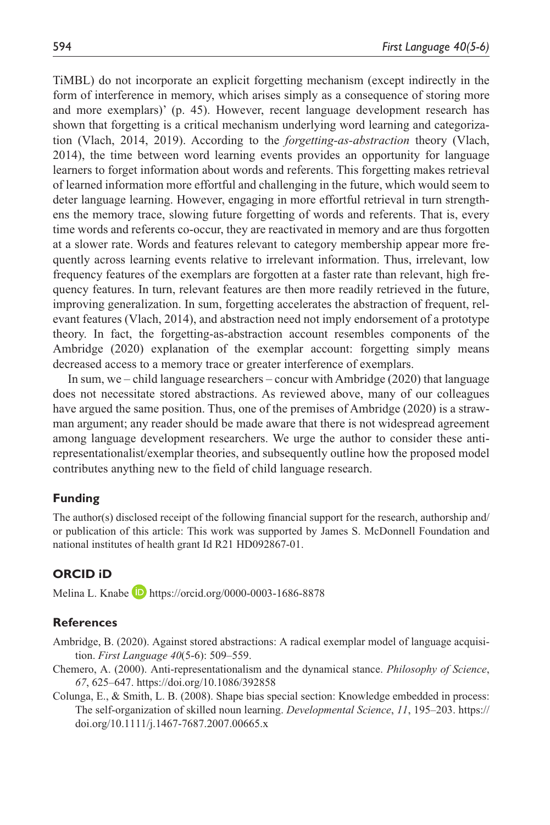TiMBL) do not incorporate an explicit forgetting mechanism (except indirectly in the form of interference in memory, which arises simply as a consequence of storing more and more exemplars)' (p. 45). However, recent language development research has shown that forgetting is a critical mechanism underlying word learning and categorization (Vlach, 2014, 2019). According to the *forgetting-as-abstraction* theory (Vlach, 2014), the time between word learning events provides an opportunity for language learners to forget information about words and referents. This forgetting makes retrieval of learned information more effortful and challenging in the future, which would seem to deter language learning. However, engaging in more effortful retrieval in turn strengthens the memory trace, slowing future forgetting of words and referents. That is, every time words and referents co-occur, they are reactivated in memory and are thus forgotten at a slower rate. Words and features relevant to category membership appear more frequently across learning events relative to irrelevant information. Thus, irrelevant, low frequency features of the exemplars are forgotten at a faster rate than relevant, high frequency features. In turn, relevant features are then more readily retrieved in the future, improving generalization. In sum, forgetting accelerates the abstraction of frequent, relevant features (Vlach, 2014), and abstraction need not imply endorsement of a prototype theory. In fact, the forgetting-as-abstraction account resembles components of the Ambridge (2020) explanation of the exemplar account: forgetting simply means decreased access to a memory trace or greater interference of exemplars.

In sum, we – child language researchers – concur with Ambridge (2020) that language does not necessitate stored abstractions. As reviewed above, many of our colleagues have argued the same position. Thus, one of the premises of Ambridge (2020) is a strawman argument; any reader should be made aware that there is not widespread agreement among language development researchers. We urge the author to consider these antirepresentationalist/exemplar theories, and subsequently outline how the proposed model contributes anything new to the field of child language research.

#### **Funding**

The author(s) disclosed receipt of the following financial support for the research, authorship and/ or publication of this article: This work was supported by James S. McDonnell Foundation and national institutes of health grant Id R21 HD092867-01.

#### **ORCID iD**

Melina L. Knabe **D** <https://orcid.org/0000-0003-1686-8878>

#### **References**

Ambridge, B. (2020). Against stored abstractions: A radical exemplar model of language acquisition. *First Language 40*(5-6): 509–559.

- Chemero, A. (2000). Anti-representationalism and the dynamical stance. *Philosophy of Science*, *67*, 625–647.<https://doi.org/10.1086/392858>
- Colunga, E., & Smith, L. B. (2008). Shape bias special section: Knowledge embedded in process: The self-organization of skilled noun learning. *Developmental Science*, *11*, 195–203. [https://](https://doi.org/10.1111/j.1467-7687.2007.00665.x) [doi.org/10.1111/j.1467-7687.2007.00665.x](https://doi.org/10.1111/j.1467-7687.2007.00665.x)